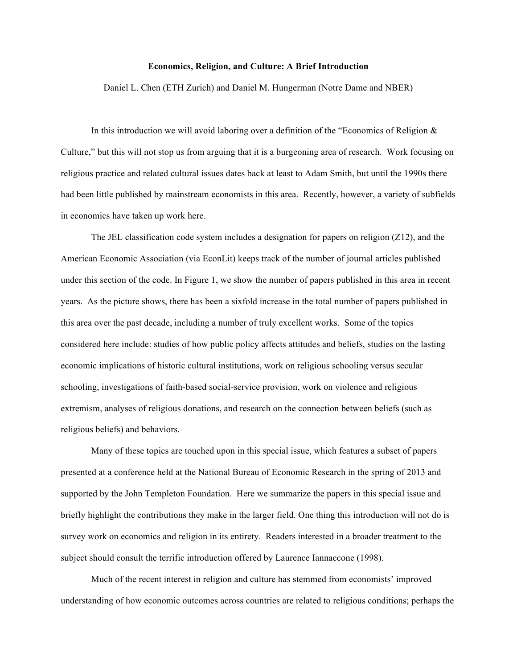## **Economics, Religion, and Culture: A Brief Introduction**

Daniel L. Chen (ETH Zurich) and Daniel M. Hungerman (Notre Dame and NBER)

In this introduction we will avoid laboring over a definition of the "Economics of Religion  $\&$ Culture," but this will not stop us from arguing that it is a burgeoning area of research. Work focusing on religious practice and related cultural issues dates back at least to Adam Smith, but until the 1990s there had been little published by mainstream economists in this area. Recently, however, a variety of subfields in economics have taken up work here.

The JEL classification code system includes a designation for papers on religion (Z12), and the American Economic Association (via EconLit) keeps track of the number of journal articles published under this section of the code. In Figure 1, we show the number of papers published in this area in recent years. As the picture shows, there has been a sixfold increase in the total number of papers published in this area over the past decade, including a number of truly excellent works. Some of the topics considered here include: studies of how public policy affects attitudes and beliefs, studies on the lasting economic implications of historic cultural institutions, work on religious schooling versus secular schooling, investigations of faith-based social-service provision, work on violence and religious extremism, analyses of religious donations, and research on the connection between beliefs (such as religious beliefs) and behaviors.

Many of these topics are touched upon in this special issue, which features a subset of papers presented at a conference held at the National Bureau of Economic Research in the spring of 2013 and supported by the John Templeton Foundation. Here we summarize the papers in this special issue and briefly highlight the contributions they make in the larger field. One thing this introduction will not do is survey work on economics and religion in its entirety. Readers interested in a broader treatment to the subject should consult the terrific introduction offered by Laurence Iannaccone (1998).

Much of the recent interest in religion and culture has stemmed from economists' improved understanding of how economic outcomes across countries are related to religious conditions; perhaps the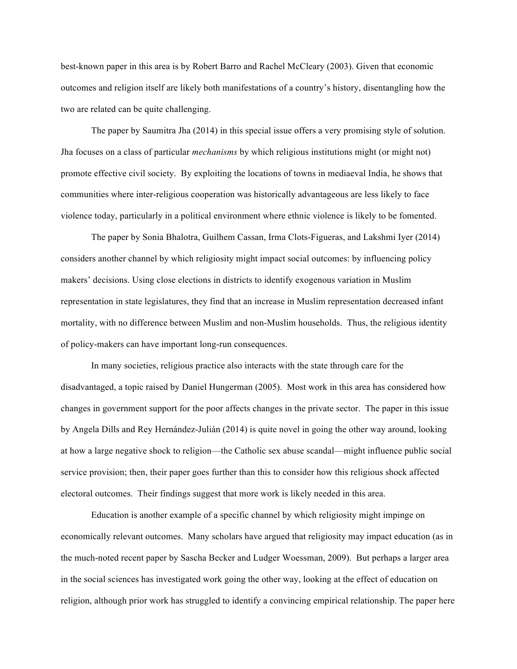best-known paper in this area is by Robert Barro and Rachel McCleary (2003). Given that economic outcomes and religion itself are likely both manifestations of a country's history, disentangling how the two are related can be quite challenging.

The paper by Saumitra Jha (2014) in this special issue offers a very promising style of solution. Jha focuses on a class of particular *mechanisms* by which religious institutions might (or might not) promote effective civil society. By exploiting the locations of towns in mediaeval India, he shows that communities where inter-religious cooperation was historically advantageous are less likely to face violence today, particularly in a political environment where ethnic violence is likely to be fomented.

The paper by Sonia Bhalotra, Guilhem Cassan, Irma Clots-Figueras, and Lakshmi Iyer (2014) considers another channel by which religiosity might impact social outcomes: by influencing policy makers' decisions. Using close elections in districts to identify exogenous variation in Muslim representation in state legislatures, they find that an increase in Muslim representation decreased infant mortality, with no difference between Muslim and non-Muslim households. Thus, the religious identity of policy-makers can have important long-run consequences.

In many societies, religious practice also interacts with the state through care for the disadvantaged, a topic raised by Daniel Hungerman (2005). Most work in this area has considered how changes in government support for the poor affects changes in the private sector. The paper in this issue by Angela Dills and Rey Hernández-Julián (2014) is quite novel in going the other way around, looking at how a large negative shock to religion—the Catholic sex abuse scandal—might influence public social service provision; then, their paper goes further than this to consider how this religious shock affected electoral outcomes. Their findings suggest that more work is likely needed in this area.

Education is another example of a specific channel by which religiosity might impinge on economically relevant outcomes. Many scholars have argued that religiosity may impact education (as in the much-noted recent paper by Sascha Becker and Ludger Woessman, 2009). But perhaps a larger area in the social sciences has investigated work going the other way, looking at the effect of education on religion, although prior work has struggled to identify a convincing empirical relationship. The paper here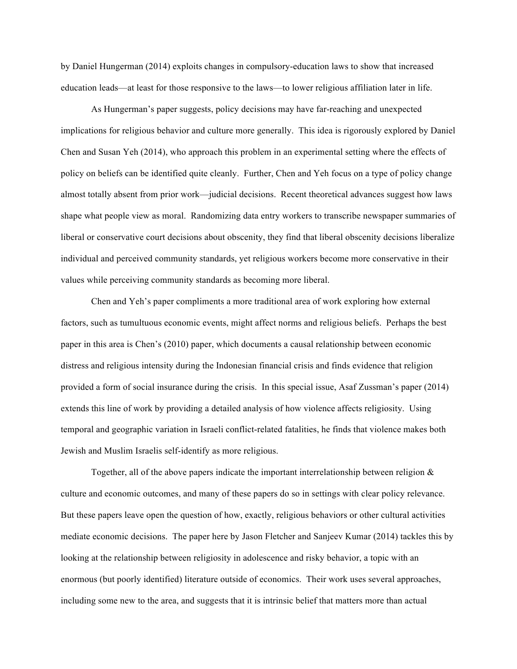by Daniel Hungerman (2014) exploits changes in compulsory-education laws to show that increased education leads—at least for those responsive to the laws—to lower religious affiliation later in life.

As Hungerman's paper suggests, policy decisions may have far-reaching and unexpected implications for religious behavior and culture more generally. This idea is rigorously explored by Daniel Chen and Susan Yeh (2014), who approach this problem in an experimental setting where the effects of policy on beliefs can be identified quite cleanly. Further, Chen and Yeh focus on a type of policy change almost totally absent from prior work—judicial decisions. Recent theoretical advances suggest how laws shape what people view as moral. Randomizing data entry workers to transcribe newspaper summaries of liberal or conservative court decisions about obscenity, they find that liberal obscenity decisions liberalize individual and perceived community standards, yet religious workers become more conservative in their values while perceiving community standards as becoming more liberal.

Chen and Yeh's paper compliments a more traditional area of work exploring how external factors, such as tumultuous economic events, might affect norms and religious beliefs. Perhaps the best paper in this area is Chen's (2010) paper, which documents a causal relationship between economic distress and religious intensity during the Indonesian financial crisis and finds evidence that religion provided a form of social insurance during the crisis. In this special issue, Asaf Zussman's paper (2014) extends this line of work by providing a detailed analysis of how violence affects religiosity. Using temporal and geographic variation in Israeli conflict-related fatalities, he finds that violence makes both Jewish and Muslim Israelis self-identify as more religious.

Together, all of the above papers indicate the important interrelationship between religion  $\&$ culture and economic outcomes, and many of these papers do so in settings with clear policy relevance. But these papers leave open the question of how, exactly, religious behaviors or other cultural activities mediate economic decisions. The paper here by Jason Fletcher and Sanjeev Kumar (2014) tackles this by looking at the relationship between religiosity in adolescence and risky behavior, a topic with an enormous (but poorly identified) literature outside of economics. Their work uses several approaches, including some new to the area, and suggests that it is intrinsic belief that matters more than actual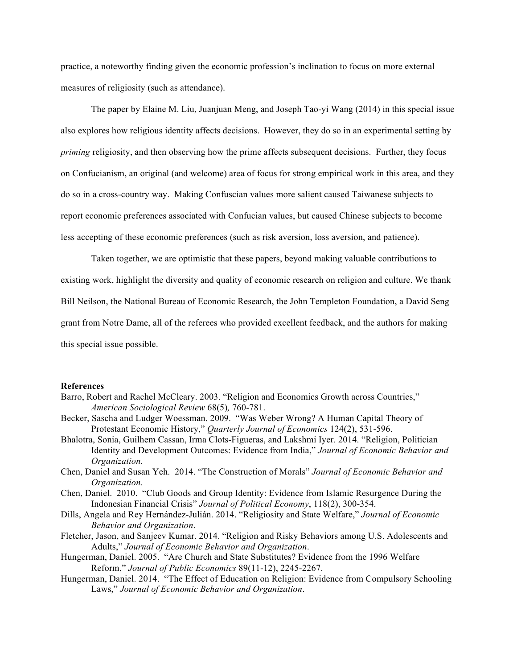practice, a noteworthy finding given the economic profession's inclination to focus on more external measures of religiosity (such as attendance).

The paper by Elaine M. Liu, Juanjuan Meng, and Joseph Tao-yi Wang (2014) in this special issue also explores how religious identity affects decisions. However, they do so in an experimental setting by *priming* religiosity, and then observing how the prime affects subsequent decisions. Further, they focus on Confucianism, an original (and welcome) area of focus for strong empirical work in this area, and they do so in a cross-country way. Making Confuscian values more salient caused Taiwanese subjects to report economic preferences associated with Confucian values, but caused Chinese subjects to become less accepting of these economic preferences (such as risk aversion, loss aversion, and patience).

Taken together, we are optimistic that these papers, beyond making valuable contributions to existing work, highlight the diversity and quality of economic research on religion and culture. We thank Bill Neilson, the National Bureau of Economic Research, the John Templeton Foundation, a David Seng grant from Notre Dame, all of the referees who provided excellent feedback, and the authors for making this special issue possible.

## **References**

- Barro, Robert and Rachel McCleary. 2003. "Religion and Economics Growth across Countries," *American Sociological Review* 68(5)*,* 760-781.
- Becker, Sascha and Ludger Woessman. 2009. "Was Weber Wrong? A Human Capital Theory of Protestant Economic History," *Quarterly Journal of Economics* 124(2), 531-596.
- Bhalotra, Sonia, Guilhem Cassan, Irma Clots-Figueras, and Lakshmi Iyer. 2014. "Religion, Politician Identity and Development Outcomes: Evidence from India," *Journal of Economic Behavior and Organization*.
- Chen, Daniel and Susan Yeh. 2014. "The Construction of Morals" *Journal of Economic Behavior and Organization*.
- Chen, Daniel. 2010. "Club Goods and Group Identity: Evidence from Islamic Resurgence During the Indonesian Financial Crisis" *Journal of Political Economy*, 118(2), 300-354.
- Dills, Angela and Rey Hernández-Julián. 2014. "Religiosity and State Welfare," *Journal of Economic Behavior and Organization*.
- Fletcher, Jason, and Sanjeev Kumar. 2014. "Religion and Risky Behaviors among U.S. Adolescents and Adults," *Journal of Economic Behavior and Organization*.
- Hungerman, Daniel. 2005. "Are Church and State Substitutes? Evidence from the 1996 Welfare Reform," *Journal of Public Economics* 89(11-12), 2245-2267.
- Hungerman, Daniel. 2014. "The Effect of Education on Religion: Evidence from Compulsory Schooling Laws," *Journal of Economic Behavior and Organization*.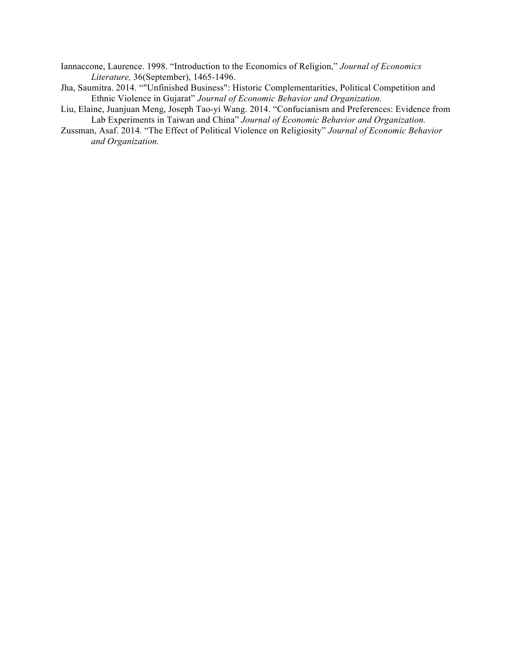Iannaccone, Laurence. 1998. "Introduction to the Economics of Religion," *Journal of Economics Literature,* 36(September), 1465-1496.

- Jha, Saumitra. 2014. ""Unfinished Business": Historic Complementarities, Political Competition and Ethnic Violence in Gujarat" *Journal of Economic Behavior and Organization.*
- Liu, Elaine, Juanjuan Meng, Joseph Tao-yi Wang. 2014. "Confucianism and Preferences: Evidence from Lab Experiments in Taiwan and China" *Journal of Economic Behavior and Organization.*
- Zussman, Asaf. 2014. "The Effect of Political Violence on Religiosity" *Journal of Economic Behavior and Organization.*